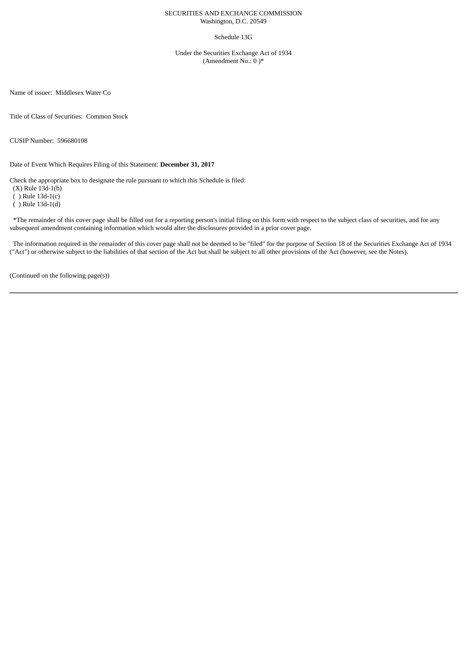## SECURITIES AND EXCHANGE COMMISSION Washington, D.C. 20549

## Schedule 13G

Under the Securities Exchange Act of 1934 (Amendment No.: 0 )\*

Name of issuer: Middlesex Water Co

Title of Class of Securities: Common Stock

CUSIP Number: 596680108

Date of Event Which Requires Filing of this Statement: **December 31, 2017**

Check the appropriate box to designate the rule pursuant to which this Schedule is filed:

(X) Rule 13d-1(b)

( ) Rule 13d-1(c)

( ) Rule 13d-1(d)

\*The remainder of this cover page shall be filled out for a reporting person's initial filing on this form with respect to the subject class of securities, and for any subsequent amendment containing information which would alter the disclosures provided in a prior cover page.

The information required in the remainder of this cover page shall not be deemed to be "filed" for the purpose of Section 18 of the Securities Exchange Act of 1934 ("Act") or otherwise subject to the liabilities of that section of the Act but shall be subject to all other provisions of the Act (however, see the Notes).

(Continued on the following page(s))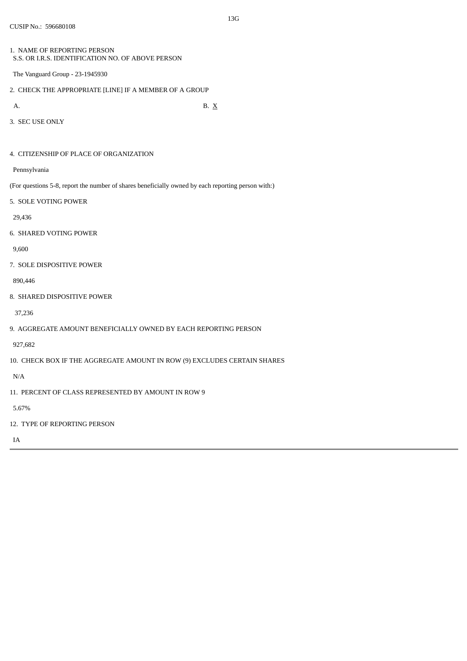- 1. NAME OF REPORTING PERSON S.S. OR I.R.S. IDENTIFICATION NO. OF ABOVE PERSON
- The Vanguard Group 23-1945930
- 2. CHECK THE APPROPRIATE [LINE] IF A MEMBER OF A GROUP
- 

A. B.  $X$ 

3. SEC USE ONLY

4. CITIZENSHIP OF PLACE OF ORGANIZATION

Pennsylvania

(For questions 5-8, report the number of shares beneficially owned by each reporting person with:)

5. SOLE VOTING POWER

29,436

6. SHARED VOTING POWER

9,600

7. SOLE DISPOSITIVE POWER

890,446

8. SHARED DISPOSITIVE POWER

37,236

9. AGGREGATE AMOUNT BENEFICIALLY OWNED BY EACH REPORTING PERSON

927,682

10. CHECK BOX IF THE AGGREGATE AMOUNT IN ROW (9) EXCLUDES CERTAIN SHARES

N/A

11. PERCENT OF CLASS REPRESENTED BY AMOUNT IN ROW 9

5.67%

12. TYPE OF REPORTING PERSON

IA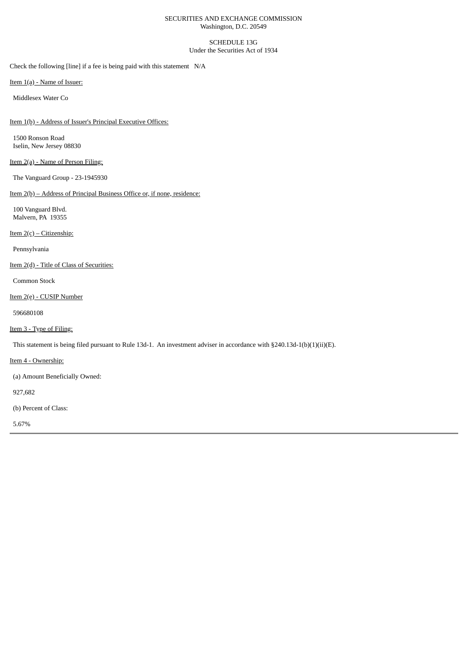## SECURITIES AND EXCHANGE COMMISSION Washington, D.C. 20549

## SCHEDULE 13G Under the Securities Act of 1934

Check the following [line] if a fee is being paid with this statement N/A

Item 1(a) - Name of Issuer:

Middlesex Water Co

Item 1(b) - Address of Issuer's Principal Executive Offices:

1500 Ronson Road Iselin, New Jersey 08830

# Item 2(a) - Name of Person Filing:

The Vanguard Group - 23-1945930

Item 2(b) – Address of Principal Business Office or, if none, residence:

100 Vanguard Blvd. Malvern, PA 19355

Item 2(c) – Citizenship:

Pennsylvania

Item 2(d) - Title of Class of Securities:

Common Stock

Item 2(e) - CUSIP Number

596680108

Item 3 - Type of Filing:

This statement is being filed pursuant to Rule 13d-1. An investment adviser in accordance with §240.13d-1(b)(1)(ii)(E).

Item 4 - Ownership:

(a) Amount Beneficially Owned:

927,682

(b) Percent of Class:

5.67%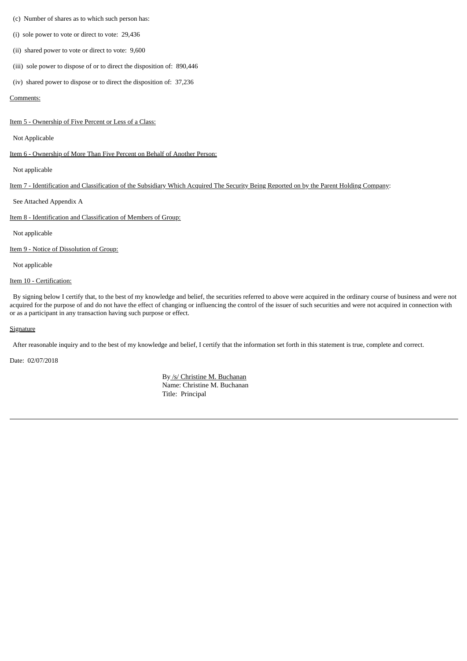### (c) Number of shares as to which such person has:

(i) sole power to vote or direct to vote: 29,436

- (ii) shared power to vote or direct to vote: 9,600
- (iii) sole power to dispose of or to direct the disposition of: 890,446
- (iv) shared power to dispose or to direct the disposition of: 37,236

#### Comments:

Item 5 - Ownership of Five Percent or Less of a Class:

#### Not Applicable

Item 6 - Ownership of More Than Five Percent on Behalf of Another Person:

Not applicable

## Item 7 - Identification and Classification of the Subsidiary Which Acquired The Security Being Reported on by the Parent Holding Company:

See Attached Appendix A

Item 8 - Identification and Classification of Members of Group:

Not applicable

Item 9 - Notice of Dissolution of Group:

Not applicable

## Item 10 - Certification:

By signing below I certify that, to the best of my knowledge and belief, the securities referred to above were acquired in the ordinary course of business and were not acquired for the purpose of and do not have the effect of changing or influencing the control of the issuer of such securities and were not acquired in connection with or as a participant in any transaction having such purpose or effect.

#### **Signature**

After reasonable inquiry and to the best of my knowledge and belief, I certify that the information set forth in this statement is true, complete and correct.

Date: 02/07/2018

By /s/ Christine M. Buchanan Name: Christine M. Buchanan Title: Principal